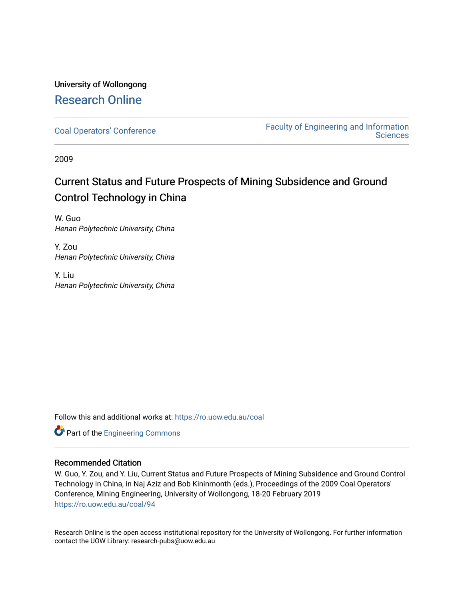# University of Wollongong [Research Online](https://ro.uow.edu.au/)

[Coal Operators' Conference](https://ro.uow.edu.au/coal) [Faculty of Engineering and Information](https://ro.uow.edu.au/eis)  **Sciences** 

2009

# Current Status and Future Prospects of Mining Subsidence and Ground Control Technology in China

W. Guo Henan Polytechnic University, China

Y. Zou Henan Polytechnic University, China

Y. Liu Henan Polytechnic University, China

Follow this and additional works at: [https://ro.uow.edu.au/coal](https://ro.uow.edu.au/coal?utm_source=ro.uow.edu.au%2Fcoal%2F94&utm_medium=PDF&utm_campaign=PDFCoverPages) 



## Recommended Citation

W. Guo, Y. Zou, and Y. Liu, Current Status and Future Prospects of Mining Subsidence and Ground Control Technology in China, in Naj Aziz and Bob Kininmonth (eds.), Proceedings of the 2009 Coal Operators' Conference, Mining Engineering, University of Wollongong, 18-20 February 2019 [https://ro.uow.edu.au/coal/94](https://ro.uow.edu.au/coal/94?utm_source=ro.uow.edu.au%2Fcoal%2F94&utm_medium=PDF&utm_campaign=PDFCoverPages) 

Research Online is the open access institutional repository for the University of Wollongong. For further information contact the UOW Library: research-pubs@uow.edu.au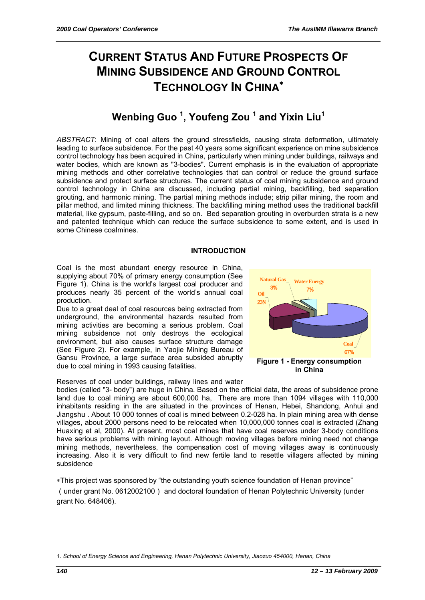# **CURRENT STATUS AND FUTURE PROSPECTS OF MINING SUBSIDENCE AND GROUND CONTROL TECHNOLOGY IN CHINA**<sup>∗</sup>

# **Wenbing Guo <sup>1</sup> , Youfeng Zou <sup>1</sup> and Yixin Liu<sup>1</sup>**

*ABSTRACT*: Mining of coal alters the ground stressfields, causing strata deformation, ultimately leading to surface subsidence. For the past 40 years some significant experience on mine subsidence control technology has been acquired in China, particularly when mining under buildings, railways and water bodies, which are known as "3-bodies". Current emphasis is in the evaluation of appropriate mining methods and other correlative technologies that can control or reduce the ground surface subsidence and protect surface structures. The current status of coal mining subsidence and ground control technology in China are discussed, including partial mining, backfilling, bed separation grouting, and harmonic mining. The partial mining methods include; strip pillar mining, the room and pillar method, and limited mining thickness. The backfilling mining method uses the traditional backfill material, like gypsum, paste-filling, and so on. Bed separation grouting in overburden strata is a new and patented technique which can reduce the surface subsidence to some extent, and is used in some Chinese coalmines.

#### **INTRODUCTION**

Coal is the most abundant energy resource in China, supplying about 70% of primary energy consumption (See Figure 1). China is the world's largest coal producer and produces nearly 35 percent of the world's annual coal production.

Due to a great deal of coal resources being extracted from underground, the environmental hazards resulted from mining activities are becoming a serious problem. Coal mining subsidence not only destroys the ecological environment, but also causes surface structure damage (See Figure 2). For example, in Yaojie Mining Bureau of Gansu Province, a large surface area subsided abruptly due to coal mining in 1993 causing fatalities.

Reserves of coal under buildings, railway lines and water



bodies (called "3- body") are huge in China. Based on the official data, the areas of subsidence prone land due to coal mining are about 600,000 ha, There are more than 1094 villages with 110,000 inhabitants residing in the are situated in the provinces of Henan, Hebei, Shandong, Anhui and Jiangshu . About 10 000 tonnes of coal is mined between 0.2-028 ha. In plain mining area with dense villages, about 2000 persons need to be relocated when 10,000,000 tonnes coal is extracted (Zhang Huaxing et al, 2000). At present, most coal mines that have coal reserves under 3-body conditions have serious problems with mining layout. Although moving villages before mining need not change mining methods, nevertheless, the compensation cost of moving villages away is continuously increasing. Also it is very difficult to find new fertile land to resettle villagers affected by mining subsidence

∗This project was sponsored by "the outstanding youth science foundation of Henan province"

(under grant No. 0612002100) and doctoral foundation of Henan Polytechnic University (under grant No. 648406).

 $\overline{a}$ *1. School of Energy Science and Engineering, Henan Polytechnic University, Jiaozuo 454000, Henan, China*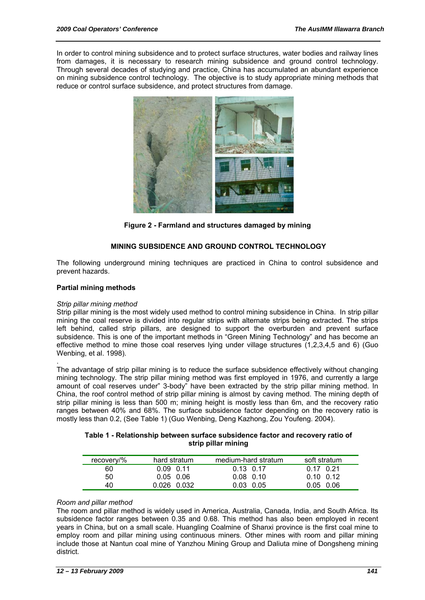In order to control mining subsidence and to protect surface structures, water bodies and railway lines from damages, it is necessary to research mining subsidence and ground control technology. Through several decades of studying and practice, China has accumulated an abundant experience on mining subsidence control technology. The objective is to study appropriate mining methods that reduce or control surface subsidence, and protect structures from damage.



**Figure 2 - Farmland and structures damaged by mining** 

## **MINING SUBSIDENCE AND GROUND CONTROL TECHNOLOGY**

The following underground mining techniques are practiced in China to control subsidence and prevent hazards.

#### **Partial mining methods**

#### *Strip pillar mining method*

Strip pillar mining is the most widely used method to control mining subsidence in China. In strip pillar mining the coal reserve is divided into regular strips with alternate strips being extracted. The strips left behind, called strip pillars, are designed to support the overburden and prevent surface subsidence. This is one of the important methods in "Green Mining Technology" and has become an effective method to mine those coal reserves lying under village structures (1,2,3,4,5 and 6) (Guo Wenbing, et al. 1998).

. The advantage of strip pillar mining is to reduce the surface subsidence effectively without changing mining technology. The strip pillar mining method was first employed in 1976, and currently a large amount of coal reserves under" 3-body" have been extracted by the strip pillar mining method. In China, the roof control method of strip pillar mining is almost by caving method. The mining depth of strip pillar mining is less than 500 m; mining height is mostly less than 6m, and the recovery ratio ranges between 40% and 68%. The surface subsidence factor depending on the recovery ratio is mostly less than 0.2, (See Table 1) (Guo Wenbing, Deng Kazhong, Zou Youfeng. 2004).

#### **Table 1 - Relationship between surface subsidence factor and recovery ratio of strip pillar mining**

| recovery/% | hard stratum  | medium-hard stratum | soft stratum      |
|------------|---------------|---------------------|-------------------|
| 60         | $0.09$ 0.11   | $0.13 \quad 0.17$   | $0.17$ $0.21$     |
| 50         | $0.05$ 0.06   | $0.08$ 0.10         | $0.10 \quad 0.12$ |
| 40         | $0.026$ 0.032 | $0.03 \quad 0.05$   | $0.05$ 0.06       |

#### *Room and pillar method*

The room and pillar method is widely used in America, Australia, Canada, India, and South Africa. Its subsidence factor ranges between 0.35 and 0.68. This method has also been employed in recent years in China, but on a small scale. Huangling Coalmine of Shanxi province is the first coal mine to employ room and pillar mining using continuous miners. Other mines with room and pillar mining include those at Nantun coal mine of Yanzhou Mining Group and Daliuta mine of Dongsheng mining district.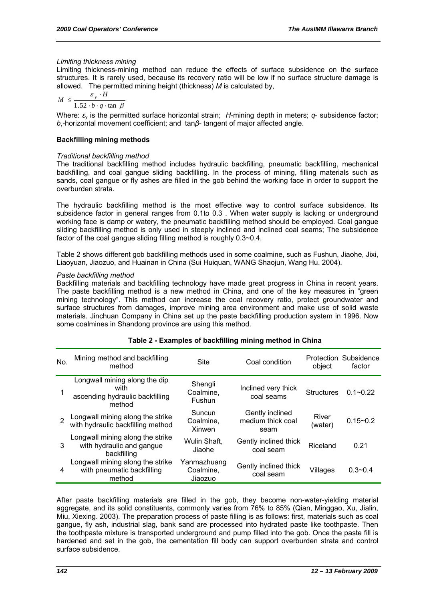#### *Limiting thickness mining*

Limiting thickness-mining method can reduce the effects of surface subsidence on the surface structures. It is rarely used, because its recovery ratio will be low if no surface structure damage is allowed. The permitted mining height (thickness) *M* is calculated by,

$$
M \le \frac{\varepsilon_y \cdot H}{1.52 \cdot b \cdot q \cdot \tan \beta}
$$

Where: *ε*y is the permitted surface horizontal strain; *H*-mining depth in meters; *q*- subsidence factor; *b*,-horizontal movement coefficient; and tan*β*- tangent of major affected angle.

#### **Backfilling mining methods**

#### *Traditional backfilling method*

The traditional backfilling method includes hydraulic backfilling, pneumatic backfilling, mechanical backfilling, and coal gangue sliding backfilling. In the process of mining, filling materials such as sands, coal gangue or fly ashes are filled in the gob behind the working face in order to support the overburden strata.

The hydraulic backfilling method is the most effective way to control surface subsidence. Its subsidence factor in general ranges from 0.1to 0.3 . When water supply is lacking or underground working face is damp or watery, the pneumatic backfilling method should be employed. Coal gangue sliding backfilling method is only used in steeply inclined and inclined coal seams; The subsidence factor of the coal gangue sliding filling method is roughly 0.3~0.4.

Table 2 shows different gob backfilling methods used in some coalmine, such as Fushun, Jiaohe, Jixi, Liaoyuan, Jiaozuo, and Huainan in China (Sui Huiquan, WANG Shaojun, Wang Hu. 2004).

#### *Paste backfilling method*

Backfilling materials and backfilling technology have made great progress in China in recent years. The paste backfilling method is a new method in China, and one of the key measures in "green mining technology". This method can increase the coal recovery ratio, protect groundwater and surface structures from damages, improve mining area environment and make use of solid waste materials. Jinchuan Company in China set up the paste backfilling production system in 1996. Now some coalmines in Shandong province are using this method.

| No.           | Mining method and backfilling<br>method                                            | Site                                | Coal condition                               | object            | Protection Subsidence<br>factor |
|---------------|------------------------------------------------------------------------------------|-------------------------------------|----------------------------------------------|-------------------|---------------------------------|
|               | Longwall mining along the dip<br>with<br>ascending hydraulic backfilling<br>method | Shengli<br>Coalmine,<br>Fushun      | Inclined very thick<br>coal seams            | <b>Structures</b> | $0.1 - 0.22$                    |
| $\mathcal{P}$ | Longwall mining along the strike<br>with hydraulic backfilling method              | Suncun<br>Coalmine,<br>Xinwen       | Gently inclined<br>medium thick coal<br>seam | River<br>(water)  | $0.15 - 0.2$                    |
| 3             | Longwall mining along the strike<br>with hydraulic and gangue<br>backfilling       | Wulin Shaft,<br>Jiaohe              | Gently inclined thick<br>coal seam           | Riceland          | 0.21                            |
| 4             | Longwall mining along the strike<br>with pneumatic backfilling<br>method           | Yanmazhuang<br>Coalmine,<br>Jiaozuo | Gently inclined thick<br>coal seam           | Villages          | $0.3 - 0.4$                     |

#### **Table 2 - Examples of backfilling mining method in China**

After paste backfilling materials are filled in the gob, they become non-water-yielding material aggregate, and its solid constituents, commonly varies from 76% to 85% (Qian, Minggao, Xu, Jialin, Miu, Xiexing. 2003). The preparation process of paste filling is as follows: first, materials such as coal gangue, fly ash, industrial slag, bank sand are processed into hydrated paste like toothpaste. Then the toothpaste mixture is transported underground and pump filled into the gob. Once the paste fill is hardened and set in the gob, the cementation fill body can support overburden strata and control surface subsidence.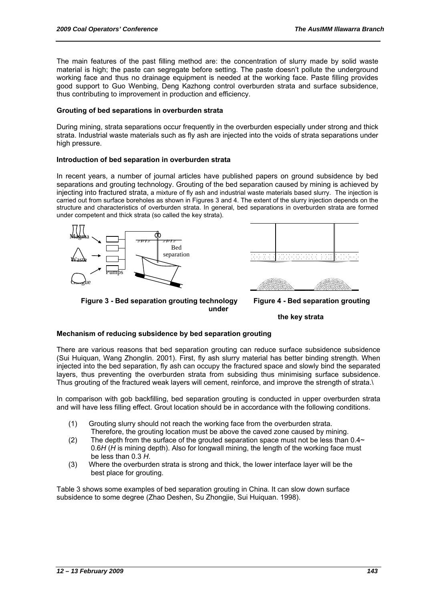The main features of the past filling method are: the concentration of slurry made by solid waste material is high; the paste can segregate before setting. The paste doesn't pollute the underground working face and thus no drainage equipment is needed at the working face. Paste filling provides good support to Guo Wenbing, Deng Kazhong control overburden strata and surface subsidence, thus contributing to improvement in production and efficiency.

#### **Grouting of bed separations in overburden strata**

During mining, strata separations occur frequently in the overburden especially under strong and thick strata. Industrial waste materials such as fly ash are injected into the voids of strata separations under high pressure.

#### **Introduction of bed separation in overburden strata**

In recent years, a number of journal articles have published papers on ground subsidence by bed separations and grouting technology. Grouting of the bed separation caused by mining is achieved by injecting into fractured strata, a mixture of fly ash and industrial waste materials based slurry. The injection is carried out from surface boreholes as shown in Figures 3 and 4. The extent of the slurry injection depends on the structure and characteristics of overburden strata. In general, bed separations in overburden strata are formed under competent and thick strata (so called the key strata).



**under** 

 **the key strata** 

#### **Mechanism of reducing subsidence by bed separation grouting**

There are various reasons that bed separation grouting can reduce surface subsidence subsidence (Sui Huiquan, Wang Zhonglin. 2001). First, fly ash slurry material has better binding strength. When injected into the bed separation, fly ash can occupy the fractured space and slowly bind the separated layers, thus preventing the overburden strata from subsiding thus minimising surface subsidence. Thus grouting of the fractured weak layers will cement, reinforce, and improve the strength of strata.\

In comparison with gob backfilling, bed separation grouting is conducted in upper overburden strata and will have less filling effect. Grout location should be in accordance with the following conditions.

- (1) Grouting slurry should not reach the working face from the overburden strata. Therefore, the grouting location must be above the caved zone caused by mining.
- (2) The depth from the surface of the grouted separation space must not be less than  $0.4\sim$ 0.6*H* (*H* is mining depth). Also for longwall mining, the length of the working face must be less than 0.3 *H*.
- (3) Where the overburden strata is strong and thick, the lower interface layer will be the best place for grouting.

Table 3 shows some examples of bed separation grouting in China. It can slow down surface subsidence to some degree (Zhao Deshen, Su Zhongjie, Sui Huiquan. 1998).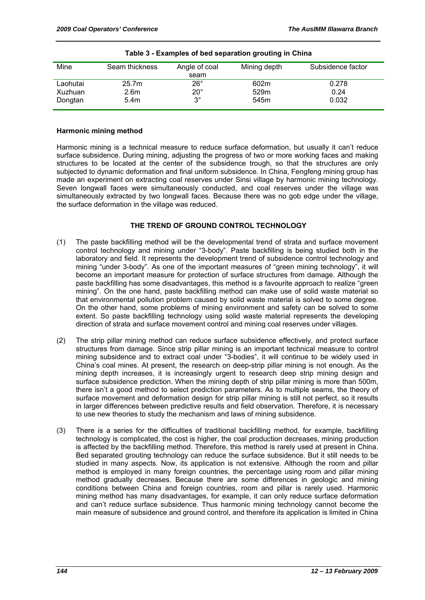|          | rapie o - Laampies of bed separation grouting in Omna |                       |                  |                   |  |
|----------|-------------------------------------------------------|-----------------------|------------------|-------------------|--|
| Mine     | Seam thickness                                        | Angle of coal<br>seam | Mining depth     | Subsidence factor |  |
| Laohutai | 25.7m                                                 | $26^{\circ}$          | 602m             | 0.278             |  |
| Xuzhuan  | 2.6m                                                  | $20^{\circ}$          | 529m             | 0.24              |  |
| Dongtan  | 5.4m                                                  | $3^\circ$             | 545 <sub>m</sub> | 0.032             |  |
|          |                                                       |                       |                  |                   |  |

**Table 3 - Examples of bed separation grouting in China** 

### **Harmonic mining method**

Harmonic mining is a technical measure to reduce surface deformation, but usually it can't reduce surface subsidence. During mining, adjusting the progress of two or more working faces and making structures to be located at the center of the subsidence trough, so that the structures are only subjected to dynamic deformation and final uniform subsidence. In China, Fengfeng mining group has made an experiment on extracting coal reserves under Sinsi village by harmonic mining technology. Seven longwall faces were simultaneously conducted, and coal reserves under the village was simultaneously extracted by two longwall faces. Because there was no gob edge under the village, the surface deformation in the village was reduced.

## **THE TREND OF GROUND CONTROL TECHNOLOGY**

- (1) The paste backfilling method will be the developmental trend of strata and surface movement control technology and mining under "3-body". Paste backfilling is being studied both in the laboratory and field. It represents the development trend of subsidence control technology and mining "under 3-body". As one of the important measures of "green mining technology", it will become an important measure for protection of surface structures from damage. Although the paste backfilling has some disadvantages, this method is a favourite approach to realize "green mining". On the one hand, paste backfilling method can make use of solid waste material so that environmental pollution problem caused by solid waste material is solved to some degree. On the other hand, some problems of mining environment and safety can be solved to some extent. So paste backfilling technology using solid waste material represents the developing direction of strata and surface movement control and mining coal reserves under villages.
- (2) The strip pillar mining method can reduce surface subsidence effectively, and protect surface structures from damage. Since strip pillar mining is an important technical measure to control mining subsidence and to extract coal under "3-bodies", it will continue to be widely used in China's coal mines. At present, the research on deep-strip pillar mining is not enough. As the mining depth increases, it is increasingly urgent to research deep strip mining design and surface subsidence prediction. When the mining depth of strip pillar mining is more than 500m, there isn't a good method to select prediction parameters. As to multiple seams, the theory of surface movement and deformation design for strip pillar mining is still not perfect, so it results in larger differences between predictive results and field observation. Therefore, it is necessary to use new theories to study the mechanism and laws of mining subsidence.
- (3) There is a series for the difficulties of traditional backfilling method, for example, backfilling technology is complicated, the cost is higher, the coal production decreases, mining production is affected by the backfilling method. Therefore, this method is rarely used at present in China. Bed separated grouting technology can reduce the surface subsidence. But it still needs to be studied in many aspects. Now, its application is not extensive. Although the room and pillar method is employed in many foreign countries, the percentage using room and pillar mining method gradually decreases. Because there are some differences in geologic and mining conditions between China and foreign countries, room and pillar is rarely used. Harmonic mining method has many disadvantages, for example, it can only reduce surface deformation and can't reduce surface subsidence. Thus harmonic mining technology cannot become the main measure of subsidence and ground control, and therefore its application is limited in China